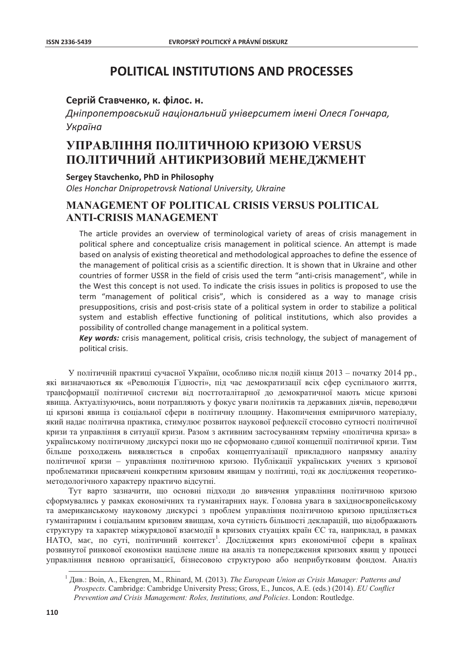# **POLITICAL INSTITUTIONS AND PROCESSES**

#### Сергій Ставченко, к. філос. н.

Дніпропетровський національний університет імені Олеся Гончара, Україна

# УПРАВЛІННЯ ПОЛІТИЧНОЮ КРИЗОЮ VERSUS ПОЛІТИЧНИЙ АНТИКРИЗОВИЙ МЕНЕДЖМЕНТ

Sergey Stavchenko, PhD in Philosophy

Oles Honchar Dnipropetrovsk National University, Ukraine

### **MANAGEMENT OF POLITICAL CRISIS VERSUS POLITICAL ANTI-CRISIS MANAGEMENT**

The article provides an overview of terminological variety of areas of crisis management in political sphere and conceptualize crisis management in political science. An attempt is made based on analysis of existing theoretical and methodological approaches to define the essence of the management of political crisis as a scientific direction. It is shown that in Ukraine and other countries of former USSR in the field of crisis used the term "anti-crisis management", while in the West this concept is not used. To indicate the crisis issues in politics is proposed to use the term "management of political crisis", which is considered as a way to manage crisis presuppositions, crisis and post-crisis state of a political system in order to stabilize a political system and establish effective functioning of political institutions, which also provides a possibility of controlled change management in a political system.

Key words: crisis management, political crisis, crisis technology, the subject of management of political crisis.

У політичній практиці сучасної України, особливо після подій кінця 2013 – початку 2014 рр., які визначаються як «Революція Гідності», під час демократизації всіх сфер суспільного життя, трансформації політичної системи від посттоталітарної до демократичної мають місце кризові явища. Актуалізуючись, вони потрапляють у фокус уваги політиків та державних діячів, переводячи ці кризові явища із соціальної сфери в політичну площину. Накопичення емпіричного матеріалу, який надає політична практика, стимулює розвиток наукової рефлексії стосовно сутності політичної кризи та управління в ситуації кризи. Разом з активним застосуванням терміну «політична криза» в українському політичному дискурсі поки що не сформовано єдиної концепції політичної кризи. Тим більше розходжень виявляється в спробах концептуалізації прикладного напрямку аналізу політичної кризи - управління політичною кризою. Публікації українських учених з кризової проблематики присвячені конкретним кризовим явищам у політиці, тоді як дослідження теоретикометодологічного характеру практичо відсутні.

Тут варто зазначити, що основні підходи до вивчення управління політичною кризою сформувались у рамках економічних та гуманітарних наук. Головна увага в західноєвропейському та американському науковому дискурсі з проблем управління політичною кризою приділяється гуманітарним і соціальним кризовим явищам, хоча сутність більшості декларацій, що відображають структуру та характер міжурядової взаємодії в кризових стуаціях країн ЄС та, наприклад, в рамках НАТО, має, по суті, політичний контекст<sup>1</sup>. Дослідження криз економічної сфери в країнах розвинутої ринкової економіки націлене лише на аналіз та попередження кризових явищ у процесі управлінння певною організацієї, бізнесовою структурою або неприбутковим фондом. Аналіз

 $1$  Див.: Boin, A., Ekengren, M., Rhinard, M. (2013). The European Union as Crisis Manager: Patterns and Prospects. Cambridge: Cambridge University Press; Gross, E., Juncos, A.E. (eds.) (2014). EU Conflict Prevention and Crisis Management: Roles, Institutions, and Policies. London: Routledge.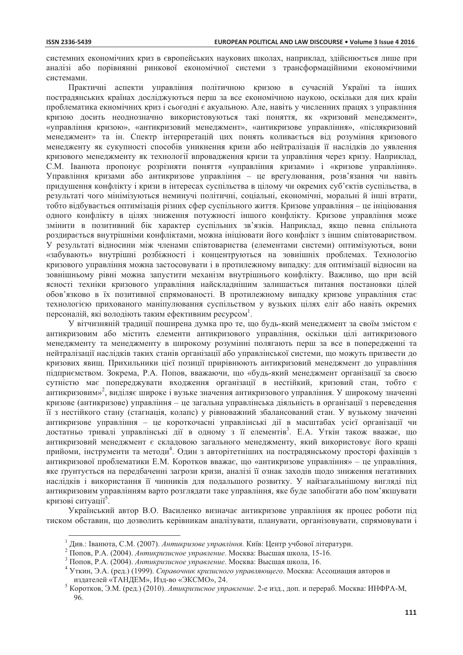системних економічних криз в європейських наукових школах, наприклал, злійснюється лише при аналізі або порівнянні ринкової економічної системи з трансформаційними економічними системами.

Практичні аспекти управління політичною кризою в сучасній Україні та інших пострадянських країнах досліджуються перш за все економічною наукою, оскільки для цих країн проблематика екномічних криз і сьогодні є акуальною. Але, навіть у численних працях з управління кризою досить неоднозначно використовуються такі поняття, як «кризовий менеджмент», «управління кризою», «антикризовий менеджмент», «антикризове управління», «післякризовий менеджмент» та ін. Спектр інтерпретацій цих понять коливається від розуміння кризового менедженту як сукупності способів уникнення кризи або нейтралізація її наслідків до уявлення кризового менеджменту як технології впровадження кризи та управління через кризу. Наприклад, С.М. Іванюта пропонує розрізняти поняття «управління кризами» і «кризове управління». Управління кризами або антикризове управління - це врегулювання, розв'язання чи навіть придушення конфлікту і кризи в інтересах суспільства в цілому чи окремих суб'єктів суспільства, в результаті чого мінімізуються неминучі політичні, соціальні, економічні, моральні й інші втрати, тобто відбувається оптимізація різних сфер суспільного життя. Кризове управління – це ініціювання одного конфлікту в цілях зниження потужності іншого конфлікту. Кризове управління може змінити в позитивний бік характер суспільних зв'язків. Наприклад, якщо певна спільнота роздирається внутрішніми конфліктами, можна ініціювати його конфлікт з іншим співтовариством. У результаті відносини між членами співтовариства (елементами системи) оптимізуються, вони «забувають» внутрішні розбіжності і концентруються на зовнішніх проблемах. Технологію кризового управління можна застосовувати і в протилежному випадку: для оптимізації відносин на зовнішньому рівні можна запустити механізм внутрішнього конфлікту. Важливо, що при всій ясності техніки кризового управління найскладнішим залишається питання постановки цілей обов'язково в їх позитивної спрямованості. В протилежному випадку кризове управління стає технологією прихованого маніпулювання суспільством у вузьких цілях еліт або навіть окремих персоналій, які володіють таким ефективним ресурсом<sup>1</sup>.

У вітчизняній традиції поширена думка про те, що будь-який менеджмент за своїм змістом є антикризовим або містить елементи антикризового управління, оскільки цілі антикризового менеджменту та менеджменту в широкому розумінні полягають перш за все в попередженні та нейтралізації наслідків таких станів організації або управлінської системи, що можуть призвести до кризових явищ. Прихильники цієї позиції прирівнюють антикризовий менеджмент до управління підприємством. Зокрема, Р.А. Попов, вважаючи, що «будь-який менеджмент організації за своєю сутністю має попереджувати входження організації в нестійкий, кризовий стан, тобто є антикризовим»<sup>2</sup>, виділяє широке і вузьке значення антикризового управління. У широкому значенні кризове (антикризове) управління - це загальна управлінська діяльність в організації з переведення її з нестійкого стану (стагнація, колапс) у рівноважний збалансований стан. У вузькому значенні антикризове управління - це короткочасні управлінські дії в масштабах усієї організації чи достатньо тривалі управлінські дії в одному з її елементів<sup>3</sup>. Е.А. Уткін також вважає, що антикризовий менеджмент є складовою загального менеджменту, який використовує його кращі прийоми, інструменти та методи<sup>4</sup>. Один з авторітетніших на пострадянському просторі фахівців з антикризової проблематики Е.М. Коротков вважає, що «антикризове управління» - це управління, яке грунтується на передбаченні загрози кризи, аналізі її ознак заходів щодо зниження негативних наслідків і використання її чинників для подальшого розвитку. У найзагальнішому вигляді під антикризовим управлінням варто розглядати таке управління, яке буде запобігати або пом'якшувати кризові ситуації<sup>5</sup>.

Український автор В.О. Василенко визначає антикризове управління як процес роботи піл тиском обставин, що дозволить керівникам аналізувати, планувати, організовувати, спрямовувати і

<sup>1</sup> Лив.: Іванюта, С.М. (2007). Антикризове управління. Київ: Центр учбової літератури.

<sup>&</sup>lt;sup>2</sup> Попов. Р.А. (2004). Антикризисное управление. Москва: Высшая школа, 15-16.

<sup>3</sup> Попов, Р.А. (2004). Антикризисное управление. Москва: Высшая школа, 16.

Уткин, Э.А. (ред.) (1999). Справочник кризисного управляющего. Москва: Ассоциация авторов и издателей «ТАНДЕМ», Изд-во «ЭКСМО», 24.

Коротков, Э.М. (ред.) (2010). Атикризисное управление. 2-е изд., доп. и перераб. Москва: ИНФРА-М, 96.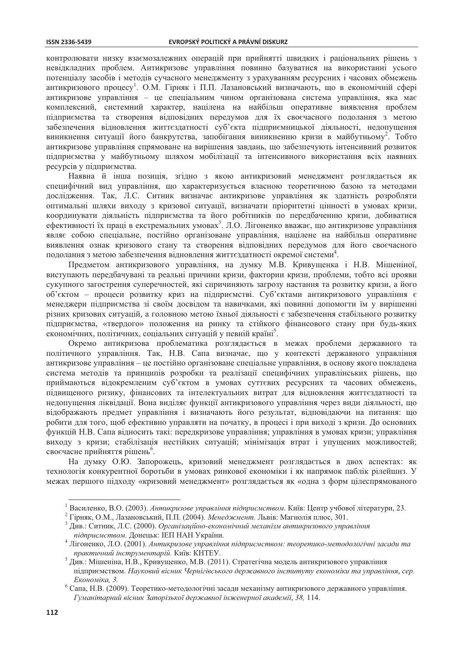контролювати низку взаємозалежних операцій при прийнятті швилких і раціональних рішень з невідкладних проблем. Антикризове управління повинно базуватися на використанні усього потенціалу засобів і методів сучасного менеджменту з урахуванням ресурсних і часових обмежень антикризового процесу<sup>1</sup>. О.М. Гірняк і П.П. Лазановський визначають, що в економічній сфері антикризове управління - це спеціальним чином організована система управління, яка має комплексний, системний характер, напілена на найбільш оперативне виявлення проблем підприємства та створення відповідних передумов для їх своєчасного подолання з метою забезпечення відновлення життєздатності суб'єкта підприємницької діяльності, недопущення виникнення ситуації його банкрутства, запобігання виникненню кризи в майбутньому<sup>2</sup>. Тобто антикризове управління спрямоване на вирішення завдань, що забезпечують інтенсивний розвиток підприємства у майбутньому шляхом мобілізації та інтенсивного використання всіх наявних ресурсів у підприємства.

Наявна й інша позиція, згідно з якою антикризовий менеджмент розглядається як специфічний вид управління, що характеризується власною теоретичною базою та методами дослідження. Так, Л.С. Ситник визначає антикризове управління як здатність розробляти оптимальні шляхи виходу з кризової ситуації, визначати пріоритетні цінності в умовах кризи, координувати діяльність підприємства та його робітників по передбаченню кризи, добиватися ефективності їх праці в екстремальних умовах<sup>3</sup>. Л.О. Лігоненко вважає, що антикризове управління являє собою спеціальне, постійно організоване управління, націлене на найбільш оперативне виявлення ознак кризового стану та створення відповідних передумов для його своєчасного подолання з метою забезпечення відновлення життєздатності окремої системи<sup>4</sup>.

Предметом антикризового управління, на думку М.В. Кривущенка і Н.В. Мішеніної, виступають передбачувані та реальні причини кризи, фактории кризи, проблеми, тобто всі прояви сукупного загострення суперечностей, які спричиняють загрозу настання та розвитку кризи, а його об'єктом - процеси розвитку криз на підприємстві. Суб'єктами антикризового управління є менеджери підприємства зі своїм досвідом та навичками, які повинні допомогти їм у вирішенні різних кризових ситуацій, а головною метою їхньої діяльності є забезпечення стабільного розвитку підприємства, «твердого» положення на ринку та стійкого фінансового стану при будь-яких економічних, політичних, соціальних ситуацій у певній країні<sup>5</sup>.

Окремо антикризова проблематика розглядається в межах проблеми державного та політичного управління. Так, Н.В. Сапа визначає, що у контексті державного управління антикризове управління - це постійно організоване спеціальне управління, в основу якого покладена система методів та принципів розробки та реалізації специфічних управлінських рішень, що приймаються відокремленим суб'єктом в умовах суттєвих ресурсних та часових обмежень, підвищеного ризику, фінансових та інтелектуальних витрат для відновлення життєздатності та недопущення ліквідації. Вона виділяє функції антикризового управління через види діяльності, що відображають предмет управління і визначають його результат, відповідаючи на питання: що робити для того, щоб ефективно управляти на початку, в процесі і при виході з кризи. До основних функцій Н.В. Сапа вілносить такі: перелкризове управління: управління в умовах кризи: управління виходу з кризи; стабілізація нестійких ситуацій; мінімізація втрат і упущених можливостей; своєчасне прийняття рішень<sup>6</sup>.

На думку О.Ю. Запорожець, кризовий менеджмент розглядається в двох аспектах: як технологія конкурентної боротьби в умовах ринкової економіки і як напрямок паблік рілейшнз. У межах першого підходу «кризовий менеджмент» розглядається як «одна з форм цілеспрямованого

<sup>&</sup>lt;sup>1</sup> Василенко, В.О. (2003). Антикризове управління підприємством. Київ: Центр учбової літератури, 23.

<sup>&</sup>lt;sup>2</sup> Гірняк, О.М., Лазановський, П.П. (2004). Менеджмент. Львів: Магнолія плюс, 301.

 $3\text{ J}$ ив.: Ситник, Л.С. (2000). Організаційно-економічний механізм антикризового управління підприємством. Донецьк: ІЕП НАН України.

Лігоненко, Л.О. (2001). Антикризове управління підприємством: теоретико-методологічні засади та практичний інструментарій. Київ: КНТЕУ.

 $5 \text{ }\overrightarrow{A}$ ив.: Мішеніна, Н.В., Кривущенко, М.В. (2011). Стратегічна модель антикризового управління підприємством. Науковий вісник Чернігівського державного інституту економіки та управління, сер. Економіка, 3.

 $6$  Сапа, Н.В. (2009). Теоретико-методологічні засади механізму антикризового державного управління. Гуманітарний вісник Запорізької державної інженерної академії, 38, 114.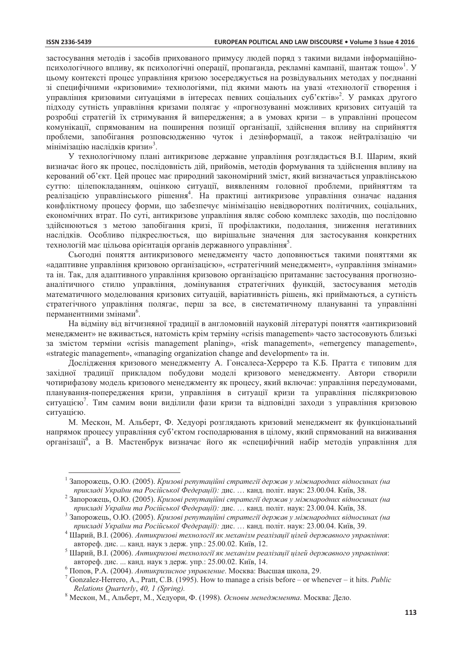застосування метолів і засобів прихованого примусу людей поряд з такими вилами інформаційнопсихологічного впливу, як психологічні операції, пропаганда, рекламні кампанії, шантаж тощо»<sup>1</sup>. У цьому контексті процес управління кризою зосереджується на розвідувальних методах у поєднанні зі специфічними «кризовими» технологіями, під якими мають на увазі «технології створення і управління кризовими ситуаціями в інтересах певних соціальних суб'єктів»<sup>2</sup>. У рамках другого підходу сутність управління кризами полягає у «прогнозуванні можливих кризових ситуацій та розробці стратегій їх стримування й випередження; а в умовах кризи - в управлінні процесом комунікації, спрямованим на поширення позиції організації, злійснення впливу на сприйняття проблеми, запобігання розповсюдженню чуток і дезінформації, а також нейтралізацію чи мінімізацію наслідків кризи»<sup>3</sup>.

У технологічному плані антикризове державне управління розглядається В.І. Шарим, який визначає його як процес, послідовність дій, прийомів, методів формування та здійснення впливу на керований об'єкт. Цей процес має природний закономірний зміст, який визначається управлінською суттю: цілепокладанням, оцінкою ситуації, виявленням головної проблеми, прийняттям та реалізацією управлінського рішення<sup>4</sup>. На практиці антикризове управління означає надання конфліктному процесу форми, що забезпечує мінімізацію невідворотних політичних, соціальних, економічних втрат. По суті, антикризове управління являє собою комплекс заходів, що послідовно здійснюються з метою запобігання кризі, її профілактики, подолання, зниження негативних наслідків. Особливо підкреслюється, що вирішальне значення для застосування конкретних технологій має цільова орієнтація органів державного управління<sup>5</sup>.

Сьогодні поняття антикризового менеджменту часто доповнюється такими поняттями як «адаптивне управління кризовою організацією», «стратегічний менеджмент», «управління змінами» та ін. Так, для адаптивного управління кризовою організацією притаманнє застосування прогнозноаналітичного стилю управління, домінування стратегічних функцій, застосування методів математичного моделювання кризових ситуацій, варіативність рішень, які приймаються, а сутність стратегічного управління полягає, перш за все, в систематичному плануванні та управлінні перманентними змінами<sup>6</sup>.

На відміну від вітчизняної традиції в англомовній науковій літературі поняття «антикризовий менеджмент» не вживається, натомість крім терміну «crisis management» часто застосовують близькі за змістом терміни «crisis management planing», «risk management», «emergency management», «strategic management», «managing organization change and development» та ін.

Дослідження кризового менеджменту А. Гонсалеса-Херреро та К.Б. Пратта є типовим для західної традиції прикладом побудови моделі кризового менеджменту. Автори створили чотирифазову модель кризового менеджменту як процесу, який включає: управління передумовами, планування-попередження кризи, управління в ситуації кризи та управління післякризовою ситуацією<sup>7</sup>. Тим самим вони виділили фази кризи та відповідні заходи з управління кризовою ситуацією.

М. Мескон, М. Альберт, Ф. Хедуорі розглядають кризовий менеджмент як функціональний напрямок процесу управління суб'єктом госполарювання в пілому, який спрямований на виживання організації<sup>8</sup>, а В. Мастенбрук визначає його як «специфічний набір методів управління для

<sup>&</sup>lt;sup>1</sup> Запорожець, О.Ю. (2005). Кризові репутаційні стратегії держав у міжнародних відносинах (на прикладі України та Російської Федерації): дис. ... канд. політ. наук: 23.00.04. Київ, 38.

<sup>&</sup>lt;sup>2</sup> Запорожець, О.Ю. (2005). Кризові репутаційні стратегії держав у міжнародних відносинах (на прикладі України та Російської Федерації): дис. ... канд. політ. наук: 23.00.04. Київ, 38.

 $\overline{\mathbf{3}}$ Запорожець, О.Ю. (2005). Кризові репутаційні стратегії держав у міжнародних відносинах (на прикладі України та Російської Федерації): дис. ... канд. політ. наук: 23.00.04. Київ, 39.

Шарий, В.І. (2006). Антикризові технології як механізм реалізації цілей державного управління: автореф. дис. ... канд. наук з держ. упр.: 25.00.02. Київ, 12.

<sup>&</sup>lt;sup>5</sup> Шарий, В.I. (2006). Антикризові технології як механізм реалізації цілей державного управління: автореф. дис. ... канд. наук з держ. упр.: 25.00.02. Київ, 14.

 $6$  Попов, Р.А. (2004). Антикризисное управление. Москва: Высшая школа, 29.

<sup>&</sup>lt;sup>7</sup> Gonzalez-Herrero, A., Pratt, C.B. (1995). How to manage a crisis before – or whenever – it hits. *Public* Relations Quarterly, 40, 1 (Spring).

<sup>&</sup>lt;sup>8</sup> Мескон, М., Альберт, М., Хедуори, Ф. (1998). Основы менеджмента. Москва: Дело.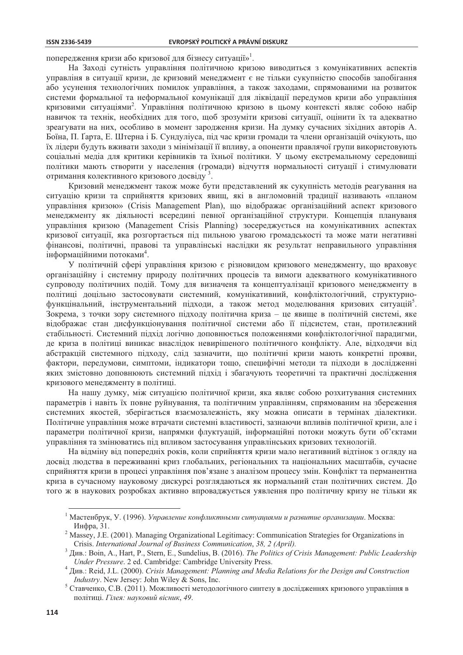попередження кризи або кризової для бізнесу ситуації»<sup>1</sup>.

На Заході сутність управління політичною кризою виводиться з комунікативних аспектів управліня в ситуації кризи, де кризовий менеджмент є не тільки сукупністю способів запобігання або усунення технологічних помилок управління, а також заходами, спрямованими на розвиток системи формальної та неформальної комунікації для ліквідації передумов кризи або управління кризовими ситуаціями<sup>2</sup>. Управління політичною кризою в цьому контексті являє собою набір навичок та технік, необхідних для того, щоб зрозуміти кризові ситуації, оцінити їх та адекватно зреагувати на них, особливо в момент зародження кризи. На думку сучасних зіхідних авторів А. Боїна, П. Ґарта, Е. Штерна і Б. Сундуліуса, під час кризи громади та члени організацій очікують, що їх лідери будуть вживати заходи з мінімізації її впливу, а опоненти правлячої групи використовують соціальні медіа для критики керівників та їхньої політики. У цьому екстремальному середовищі політики мають створити у населення (громади) відчуття нормальності ситуації і стимулювати отримання колективного кризового досвіду<sup>3</sup>.

Кризовий менеджмент також може бути представлений як сукупність методів реагування на ситуацію кризи та сприйняття кризових явищ, які в англомовній традиції називають «планом управління кризою» (Crisis Management Plan), що відображає організаційний аспект кризового менеджменту як діяльності всередині певної організаційної структури. Концепція плануваня управління кризою (Management Crisis Planning) зосереджується на комунікативних аспектах кризової ситуації, яка розгортається під пильною увагою громадськості та може мати негативні фінансові, політичні, правові та управлінські наслідки як результат неправильного управління інформаційними потоками<sup>4</sup>.

У політичній сфері управління кризою є різновидом кризового менеджменту, що враховує організаційну і системну природу політичних процесів та вимоги адекватного комунікативного супроводу політичних подій. Тому для визначеня та концептуалізації кризового менеджменту в політиці доцільно застосовувати системний, комунікативний, конфліктологічний, структурнофункцінальний, інструментальний підходи, а також метод моделювання кризових ситуацій<sup>5</sup>. Зокрема, з точки зору системного підходу політична криза - це явище в політичній системі, яке відображає стан дисфункціонування політичної системи або її підсистем, стан, протилежний стабільності. Системний підхід логічно доповнюється положеннями конфліктологічної парадигми, де криза в політиці виникає внаслідок невирішеного політичного конфлікту. Але, відходячи від абстракцій системного підходу, слід зазначити, що політичні кризи мають конкретні прояви, фактори, передумови, симптоми, індикатори тощо, специфічні методи та підходи в дослідженні яких змістовно доповнюють системний підхід і збагачують теоретичні та практичні дослідження кризового менеджменту в політиці.

На нашу думку, між ситуацією політичної кризи, яка являє собою розхитування системних параметрів і навіть їх повне руйнування, та політичним управлінням, спрямованим на збереження системних якостей, зберігається взаємозалежність, яку можна описати в термінах діалектики. Політичне управління може втрачати системні властивості, зазнаючи впливів політичної кризи, але і параметри політичної кризи, напрямки флуктуацій, інформаційні потоки можуть бути об'єктами управління та змінюватись під впливом застосування управлінських кризових технологій.

На відміну від попередніх років, коли сприйняття кризи мало негативний відтінок з огляду на досвід людства в переживанні криз глобальних, регіональних та національних масштабів, сучасне сприйняття кризи в процесі управління пов'язане з аналізом процесу змін. Конфлікт та перманентна криза в сучасному науковому дискурсі розглядаються як нормальний стан політичних систем. До того ж в наукових розробках активно впроваджується уявлення про політичну кризу не тільки як

Мастенбрук, У. (1996). Управление конфликтными ситуациями и развитие организации. Москва: Инфра, 31.

Massey, J.E. (2001). Managing Organizational Legitimacy: Communication Strategies for Organizations in Crisis. International Journal of Business Communication, 38, 2 (April).

<sup>&</sup>lt;sup>3</sup> Див.: Boin, A., Hart, P., Stern, E., Sundelius, B. (2016). The Politics of Crisis Management: Public Leadership Under Pressure. 2 ed. Cambridge: Cambridge University Press.

Див.: Reid, J.L. (2000). Crisis Management: Planning and Media Relations for the Design and Construction Industry. New Jersey: John Wiley & Sons, Inc.

<sup>&</sup>lt;sup>5</sup> Ставченко, С.В. (2011). Можливості методологічного синтезу в дослідженнях кризового управління в політиці. Гілея: науковий вісник, 49.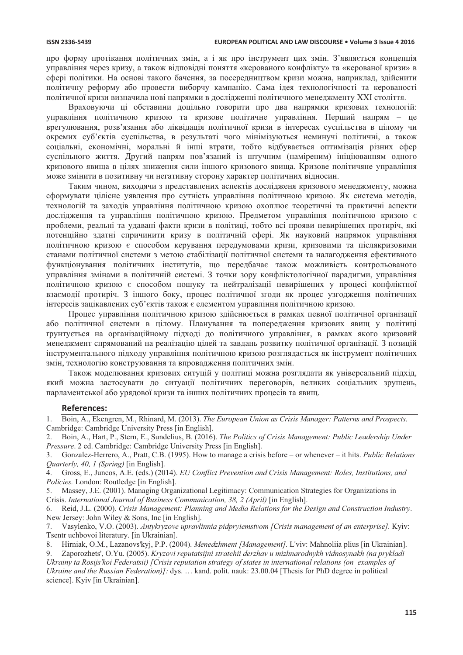про форму протікання політичних змін, а і як про інструмент цих змін. З'являється концепція управління через кризу, а також відповідні поняття «керованого конфлікту» та «керованої кризи» в сфері політики. На основі такого бачення, за посередництвом кризи можна, наприклад, здійснити політичну реформу або провести виборчу кампанію. Сама ідея технологічності та керованості політичної кризи визначила нові напрямки в дослідженні політичного менеджменту XXI століття.

Враховуючи ці обставини доцільно говорити про два напрямки кризових технологій: управління політичною кризою та кризове політичне управління. Перший напрям - це врегулювання, розв'язання або ліквідація політичної кризи в інтересах суспільства в цілому чи окремих суб'єктів суспільства, в результаті чого мінімізуються неминучі політичні, а також соціальні, економічні, моральні й інші втрати, тобто відбувається оптимізація різних сфер суспільного життя. Другий напрям пов'язаний із штучним (наміреним) ініціюванням одного кризового явища в цілях зниження сили іншого кризового явища. Кризове політичяне управління може змінити в позитивну чи негативну сторону характер політичних відносин.

Таким чином, виходячи з представлених аспектів дослідженя кризового менеджменту, можна сформувати цілісне уявлення про сутність управління політичною кризою. Як система методів, технологій та заходів управління політичною кризою охоплює теоретичні та практичні аспекти дослідження та управління політичною кризою. Предметом управління політичною кризою є проблеми, реальні та удавані факти кризи в політиці, тобто всі прояви невирішених протиріч, які потенційно здатні спричинити кризу в політичній сфері. Як науковий напрямок управління політичною кризою є способом керування передумовами кризи, кризовими та післякризовими станами політичної системи з метою стабілізації політичної системи та налагодження ефективного функціонування політичних інститутів, що передбачає також можливість контрольованого управління змінами в політичній системі. З точки зору конфліктологічної парадигми, управління політичною кризою є способом пошуку та нейтралізації невирішених у процесі конфліктної взаємодії протиріч. З іншого боку, процес політичної згоди як процес узгодження політичних інтересів зацікавлених суб'єктів також є елементом управління політичною кризою.

Процес управління політичною кризою здійснюється в рамках певної політичної організації або політичної системи в цілому. Планування та попередження кризових явищ у політиці грунтується на організаційному підході до політичного управління, в рамках якого кризовий менеджмент спрямований на реалізацію цілей та завдань розвитку політичної організації. З позицій інструментального підходу управління політичною кризою розглядається як інструмент політичних змін, технологію конструювання та впровадження політичних змін.

Також моделювання кризових ситуцій у політиці можна розглядати як універсальний підхід, який можна застосувати до ситуації політичних переговорів, великих соціальних зрушень, парламентської або урядової кризи та інших політичних процесів та явищ.

#### **References:**

Massey, J.E. (2001). Managing Organizational Legitimacy: Communication Strategies for Organizations in  $5<sub>1</sub>$ Crisis. International Journal of Business Communication, 38, 2 (April) [in English].

Reid, J.L. (2000). Crisis Management: Planning and Media Relations for the Design and Construction Industry. 6 New Jersey: John Wiley & Sons, Inc [in English].

Vasylenko, V.O. (2003). Antykryzove upravlinnia pidpryiemstvom [Crisis management of an enterprise]. Kyiv:  $7.$ Tsentr uchbovoi literatury. [in Ukrainian].

Hirniak, O.M., Lazanovs'kyj, P.P. (2004). Menedzhment [Management]. L'viv: Mahnoliia plius [in Ukrainian]. 8.

Zaporozhets', O.Yu. (2005). Kryzovi reputatsijni stratehii derzhav u mizhnarodnykh vidnosynakh (na prykladi Ukrainy ta Rosijs' koi Federatsii) [Crisis reputation strategy of states in international relations (on examples of

Ukraine and the Russian Federation)]: dys. ... kand. polit. nauk: 23.00.04 [Thesis for PhD degree in political science]. Kyiv [in Ukrainian].

Boin, A., Ekengren, M., Rhinard, M. (2013). The European Union as Crisis Manager: Patterns and Prospects.  $\mathbf{1}$ . Cambridge: Cambridge University Press [in English].

Boin, A., Hart, P., Stern, E., Sundelius, B. (2016). The Politics of Crisis Management: Public Leadership Under  $2^{1}$ Pressure. 2 ed. Cambridge: Cambridge University Press [in English].

 $3.$ Gonzalez-Herrero, A., Pratt, C.B. (1995). How to manage a crisis before – or whenever – it hits. Public Relations Quarterly, 40, 1 (Spring) [in English].

Gross, E., Juncos, A.E. (eds.) (2014). EU Conflict Prevention and Crisis Management: Roles, Institutions, and 4. Policies. London: Routledge [in English].